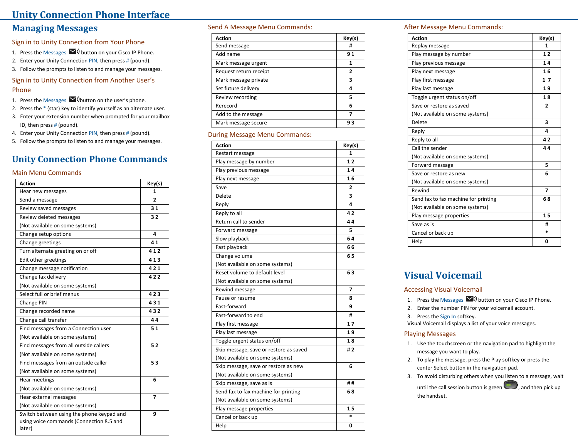### **Unity Connection Phone Interface**

### **Managing Messages**

Sign in to Unity Connection from Your Phone

- 1. Press the Messages  $\blacktriangleright$  button on your Cisco IP Phone.
- 2. Enter your Unity Connection PIN, then press # (pound).
- 3. Follow the prompts to listen to and manage your messages.

### Sign in to Unity Connection from Another User 's Phone

- 1. Press the Messages  $\blacktriangleright$   $\blacktriangleright$  button on the user's phone.
- 2. Press the \* (star) key to identify yourself as an alternate user.
- 3. Enter your extension number when prompted for your mailbox ID, then press # (pound).
- 4. Enter your Unity Connection PIN, then press # (pound).
- 5. Follow the prompts to listen to and manage your messages.

# **Unity Connection Phone Commands**

#### Main Menu Commands

| <b>Action</b>                                                                                   | Key(s)         |
|-------------------------------------------------------------------------------------------------|----------------|
| Hear new messages                                                                               | 1              |
| Send a message                                                                                  | $\overline{2}$ |
| Review saved messages                                                                           | 31             |
| Review deleted messages                                                                         | 32             |
| (Not available on some systems)                                                                 |                |
| Change setup options                                                                            | 4              |
| Change greetings                                                                                | 41             |
| Turn alternate greeting on or off                                                               | 412            |
| Edit other greetings                                                                            | 413            |
| Change message notification                                                                     | 421            |
| Change fax delivery                                                                             | 422            |
| (Not available on some systems)                                                                 |                |
| Select full or brief menus                                                                      | 423            |
| Change PIN                                                                                      | 431            |
| Change recorded name                                                                            | 432            |
| Change call transfer                                                                            | 44             |
| Find messages from a Connection user                                                            | 51             |
| (Not available on some systems)                                                                 |                |
| Find messages from all outside callers                                                          | 52             |
| (Not available on some systems)                                                                 |                |
| Find messages from an outside caller                                                            | 53             |
| (Not available on some systems)                                                                 |                |
| Hear meetings                                                                                   | 6              |
| (Not available on some systems)                                                                 |                |
| Hear external messages                                                                          | $\overline{z}$ |
| (Not available on some systems)                                                                 |                |
| Switch between using the phone keypad and<br>using voice commands (Connection 8.5 and<br>later) | 9              |

#### Send A Message Menu Commands:

| <b>Action</b>          | Key(s)         |
|------------------------|----------------|
| Send message           | #              |
| Add name               | 91             |
| Mark message urgent    | 1              |
| Request return receipt | $\overline{2}$ |
| Mark message private   | 3              |
| Set future delivery    | 4              |
| Review recording       | 5              |
| Rerecord               | 6              |
| Add to the message     | 7              |
| Mark message secure    | 93             |

#### During Message Menu Commands:

| <b>Action</b>                          | Key(s)         |
|----------------------------------------|----------------|
| Restart message                        | 1              |
| Play message by number                 | 12             |
| Play previous message                  | 14             |
| Play next message                      | 16             |
| Save                                   | $\overline{2}$ |
| Delete                                 | 3              |
| Reply                                  | 4              |
| Reply to all                           | 42             |
| Return call to sender                  | 44             |
| Forward message                        | 5              |
| Slow playback                          | 64             |
| Fast playback                          | 66             |
| Change volume                          | 65             |
| (Not available on some systems)        |                |
| Reset volume to default level          | 63             |
| (Not available on some systems)        |                |
| Rewind message                         | 7              |
| Pause or resume                        | 8              |
| Fast-forward                           | ٩              |
| Fast-forward to end                    | #              |
| Play first message                     | 17             |
| Play last message                      | 19             |
| Toggle urgent status on/off            | 18             |
| Skip message, save or restore as saved | #2             |
| (Not available on some systems)        |                |
| Skip message, save or restore as new   | 6              |
| (Not available on some systems)        |                |
| Skip message, save as is               | ##             |
| Send fax to fax machine for printing   | 68             |
| (Not available on some systems)        |                |
| Play message properties                | 1 <sub>5</sub> |
| Cancel or back up                      | $\ast$         |
| Help                                   | 0              |

#### After Message Menu Commands:

| <b>Action</b>                        | Key(s)         |
|--------------------------------------|----------------|
| Replay message                       | 1              |
| Play message by number               | 12             |
| Play previous message                | 14             |
| Play next message                    | 16             |
| Play first message                   | 17             |
| Play last message                    | 19             |
| Toggle urgent status on/off          | 18             |
| Save or restore as saved             | $\overline{2}$ |
| (Not available on some systems)      |                |
| Delete                               | 3              |
| Reply                                | 4              |
| Reply to all                         | 42             |
| Call the sender                      | 44             |
| (Not available on some systems)      |                |
| Forward message                      | 5              |
| Save or restore as new               | 6              |
| (Not available on some systems)      |                |
| Rewind                               | $\overline{7}$ |
| Send fax to fax machine for printing | 68             |
| (Not available on some systems)      |                |
| Play message properties              | 1 <sub>5</sub> |
| Save as is                           | #              |
| Cancel or back up                    | $\ast$         |
| Help                                 | 0              |

# **Visual Voicemail**

#### Accessing Visual Voicemail

- 1. Press the Messages  $\blacktriangleright$  button on your Cisco IP Phone.
- 2. Enter the number PIN for your voicemail account.
- 3. Press the Sign In softkey.
- Visual Voicemail displays a list of your voice messages.

#### Playing Messages

- 1. Use the touchscreen or the navigation pad to highlight the message you want to play.
- 2. To play the message, press the Play softkey or press the center Select button in the navigation pad.
- 3. To avoid disturbing others when you listen to a message, wait until the call session button is green  $\Box$ , and then pick up the handset.